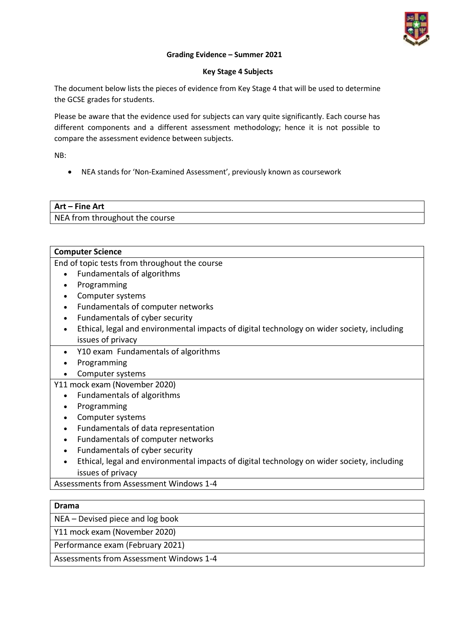

#### **Grading Evidence – Summer 2021**

#### **Key Stage 4 Subjects**

The document below lists the pieces of evidence from Key Stage 4 that will be used to determine the GCSE grades for students.

Please be aware that the evidence used for subjects can vary quite significantly. Each course has different components and a different assessment methodology; hence it is not possible to compare the assessment evidence between subjects.

NB:

NEA stands for 'Non-Examined Assessment', previously known as coursework

# **Art – Fine Art** NEA from throughout the course

#### **Computer Science**

End of topic tests from throughout the course

- Fundamentals of algorithms
- Programming
- Computer systems
- Fundamentals of computer networks
- Fundamentals of cyber security
- Ethical, legal and environmental impacts of digital technology on wider society, including issues of privacy
- Y10 exam Fundamentals of algorithms
- Programming
- Computer systems

## Y11 mock exam (November 2020)

- Fundamentals of algorithms
- Programming
- Computer systems
- Fundamentals of data representation
- Fundamentals of computer networks
- Fundamentals of cyber security
- Ethical, legal and environmental impacts of digital technology on wider society, including issues of privacy

Assessments from Assessment Windows 1-4

#### **Drama**

NEA – Devised piece and log book

Y11 mock exam (November 2020)

Performance exam (February 2021)

Assessments from Assessment Windows 1-4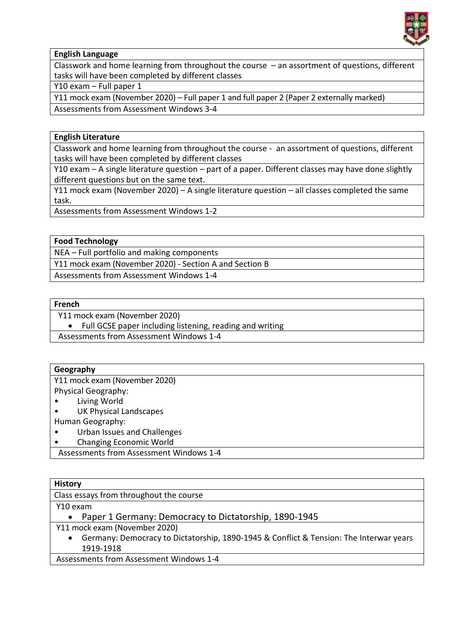

# **English Language**

Classwork and home learning from throughout the course – an assortment of questions, different tasks will have been completed by different classes

Y10 exam – Full paper 1

Y11 mock exam (November 2020) – Full paper 1 and full paper 2 (Paper 2 externally marked)

Assessments from Assessment Windows 3-4

## **English Literature**

Classwork and home learning from throughout the course - an assortment of questions, different tasks will have been completed by different classes

Y10 exam – A single literature question – part of a paper. Different classes may have done slightly different questions but on the same text.

Y11 mock exam (November 2020) – A single literature question – all classes completed the same task.

Assessments from Assessment Windows 1-2

## **Food Technology**

NEA – Full portfolio and making components

Y11 mock exam (November 2020) - Section A and Section B

Assessments from Assessment Windows 1-4

#### **French**

Y11 mock exam (November 2020)

• Full GCSE paper including listening, reading and writing

Assessments from Assessment Windows 1-4

## **Geography**

Y11 mock exam (November 2020) Physical Geography:

- Living World
- UK Physical Landscapes
- Human Geography:
- Urban Issues and Challenges
- Changing Economic World

Assessments from Assessment Windows 1-4

## **History**

Class essays from throughout the course

Y10 exam

Paper 1 Germany: Democracy to Dictatorship, 1890-1945

- Y11 mock exam (November 2020)
	- Germany: Democracy to Dictatorship, 1890-1945 & Conflict & Tension: The Interwar years 1919-1918

Assessments from Assessment Windows 1-4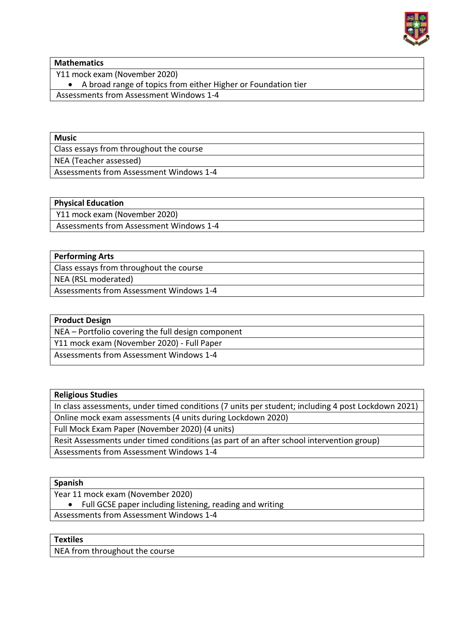

**Mathematics**

Y11 mock exam (November 2020)

A broad range of topics from either Higher or Foundation tier

Assessments from Assessment Windows 1-4

Class essays from throughout the course NEA (Teacher assessed)

Assessments from Assessment Windows 1-4

## **Physical Education**

Y11 mock exam (November 2020)

Assessments from Assessment Windows 1-4

## **Performing Arts**

Class essays from throughout the course

NEA (RSL moderated)

Assessments from Assessment Windows 1-4

## **Product Design**

NEA – Portfolio covering the full design component

Y11 mock exam (November 2020) - Full Paper

Assessments from Assessment Windows 1-4

| <b>Religious Studies</b>                                                                           |
|----------------------------------------------------------------------------------------------------|
| In class assessments, under timed conditions (7 units per student; including 4 post Lockdown 2021) |
| Online mock exam assessments (4 units during Lockdown 2020)                                        |
| Full Mock Exam Paper (November 2020) (4 units)                                                     |
| Resit Assessments under timed conditions (as part of an after school intervention group)           |
| Assessments from Assessment Windows 1-4                                                            |

## **Spanish**

Year 11 mock exam (November 2020)

Full GCSE paper including listening, reading and writing

Assessments from Assessment Windows 1-4

# **Textiles**

NEA from throughout the course